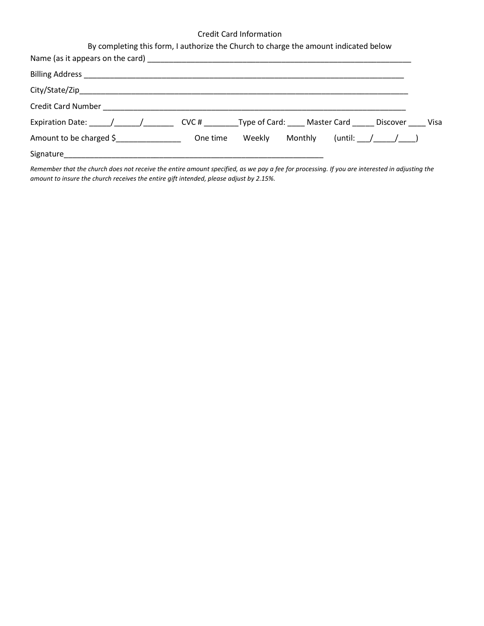## Credit Card Information

| By completing this form, I authorize the Church to charge the amount indicated below |  |                                       |  |  |
|--------------------------------------------------------------------------------------|--|---------------------------------------|--|--|
|                                                                                      |  |                                       |  |  |
|                                                                                      |  |                                       |  |  |
|                                                                                      |  |                                       |  |  |
|                                                                                      |  |                                       |  |  |
| Expiration Date: / / / CVC # Type of Card: Master Card Discover Visa                 |  |                                       |  |  |
| Amount to be charged \$                                                              |  | One time Weekly Monthly (until: / / / |  |  |
|                                                                                      |  |                                       |  |  |

*Remember that the church does not receive the entire amount specified, as we pay a fee for processing. If you are interested in adjusting the amount to insure the church receives the entire gift intended, please adjust by 2.15%.*